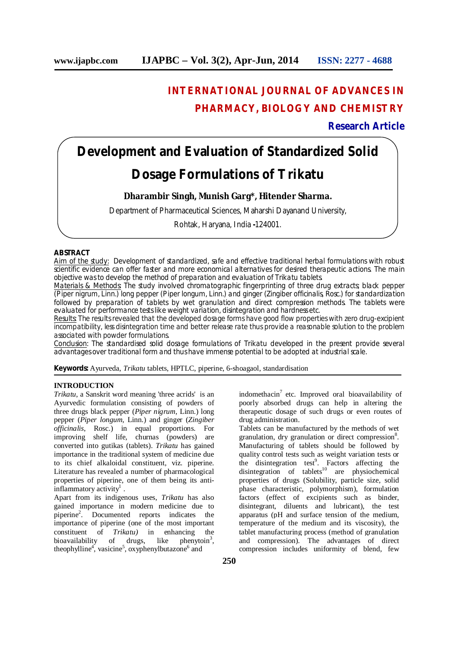# **INTERNATIONAL JOURNAL OF ADVANCES IN PHARMACY, BIOLOGY AND CHEMISTRY**

### **Research Article**

## **Development and Evaluation of Standardized Solid**

## **Dosage Formulations of** *Trikatu*

### **Dharambir Singh, Munish Garg\*, Hitender Sharma.**

Department of Pharmaceutical Sciences, Maharshi Dayanand University,

Rohtak, Haryana, India **-**124001.

#### **ABSTRACT**

Aim of the study: Development of standardized, safe and effective traditional herbal formulations with robust scientific evidence can offer faster and more economical alternatives for desired therapeutic actions. The main objective was to develop the method of preparation and evaluation of *Trikatu* tablets.

Materials & Methods: The study involved chromatographic fingerprinting of three drug extracts; black pepper (*Piper nigrum*, Linn.) long pepper (*Piper longum*, Linn.) and ginger (*Zingiber officinalis*, Rosc.) for standardization followed by preparation of tablets by wet granulation and direct compression methods. The tablets were evaluated for performance tests like weight variation, disintegration and hardness etc.

Results: The results revealed that the developed dosage forms have good flow properties with zero drug-excipient incompatibility, less disintegration time and better release rate thus provide a reasonable solution to the problem associated with powder formulations.

Conclusion: The standardised solid dosage formulations of *Trikatu* developed in the present provide several advantages over traditional form and thus have immense potential to be adopted at industrial scale.

**Keywords:** Ayurveda, *Trikatu* tablets, HPTLC, piperine, 6-shoagaol, standardisation

#### **INTRODUCTION**

*Trikatu*, a Sanskrit word meaning 'three acrids' is an Ayurvedic formulation consisting of powders of three drugs black pepper (*Piper nigrum*, Linn.) long pepper (*Piper longum*, Linn.) and ginger (*Zingiber officinalis*, Rosc.) in equal proportions. For improving shelf life, churnas (powders) are converted into gutikas (tablets). *Trikatu* has gained importance in the traditional system of medicine due to its chief alkaloidal constituent, viz. piperine. Literature has revealed a number of pharmacological properties of piperine, one of them being its anti- $\text{inflammatory activity}^1$ .

Apart from its indigenous uses, *Trikatu* has also gained importance in modern medicine due to piperine<sup>2</sup> . Documented reports indicates the importance of piperine (one of the most important constituent of  $Trikatu$ ) in enhancing the constituent of *Trikatu*) in enhancing bioavailability of drugs, like phenytoin<sup>3</sup>  $phenvtoin<sup>3</sup>$ , theophylline<sup>4</sup>, vasicine<sup>5</sup>, oxyphenylbutazone<sup>6</sup> and

indomethacin<sup>7</sup> etc. Improved oral bioavailability of poorly absorbed drugs can help in altering the therapeutic dosage of such drugs or even routes of drug administration.

Tablets can be manufactured by the methods of wet granulation, dry granulation or direct compression<sup>8</sup>. Manufacturing of tablets should be followed by quality control tests such as weight variation tests or the disintegration test<sup>9</sup>. Factors affecting the disintegration of tablets<sup>10</sup> are physiochemical properties of drugs (Solubility, particle size, solid phase characteristic, polymorphism), formulation factors (effect of excipients such as binder, disintegrant, diluents and lubricant), the test apparatus (pH and surface tension of the medium, temperature of the medium and its viscosity), the tablet manufacturing process (method of granulation and compression). The advantages of direct compression includes uniformity of blend, few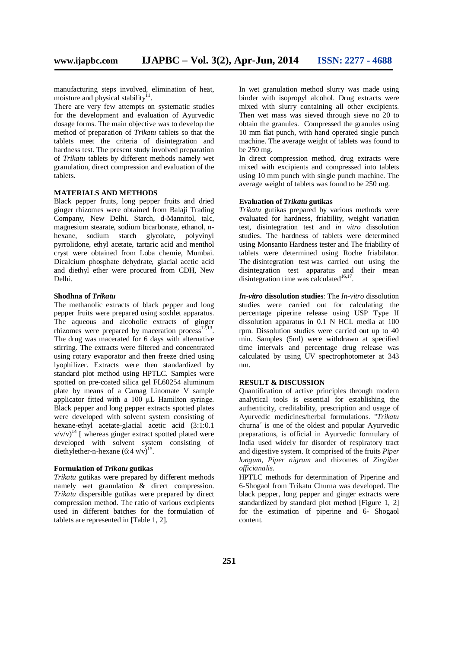manufacturing steps involved, elimination of heat, moisture and physical stability $1$ <sup>1</sup>.

There are very few attempts on systematic studies for the development and evaluation of Ayurvedic dosage forms. The main objective was to develop the method of preparation of *Trikatu* tablets so that the tablets meet the criteria of disintegration and hardness test. The present study involved preparation of *Trikatu* tablets by different methods namely wet granulation, direct compression and evaluation of the tablets.

#### **MATERIALS AND METHODS**

Black pepper fruits, long pepper fruits and dried ginger rhizomes were obtained from Balaji Trading Company, New Delhi. Starch, d-Mannitol, talc, magnesium stearate, sodium bicarbonate, ethanol, nhexane, sodium starch glycolate, polyvinyl pyrrolidone, ethyl acetate, tartaric acid and menthol cryst were obtained from Loba chemie, Mumbai. Dicalcium phosphate dehydrate, glacial acetic acid and diethyl ether were procured from CDH, New Delhi.

#### **Shodhna of** *Trikatu*

The methanolic extracts of black pepper and long pepper fruits were prepared using soxhlet apparatus. The aqueous and alcoholic extracts of ginger rhizomes were prepared by maceration process $12,13$ . The drug was macerated for 6 days with alternative stirring. The extracts were filtered and concentrated using rotary evaporator and then freeze dried using lyophilizer. Extracts were then standardized by standard plot method using HPTLC. Samples were spotted on pre-coated silica gel FL60254 aluminum plate by means of a Camag Linomate V sample applicator fitted with a 100 μL Hamilton syringe. Black pepper and long pepper extracts spotted plates were developed with solvent system consisting of hexane-ethyl acetate-glacial acetic acid (3:1:0.1  $v/v/v)^{14}$  [ whereas ginger extract spotted plated were developed with solvent system consisting of diethylether-n-hexane  $(6.4 \text{ v/v})^{15}$ .

#### **Formulation of** *Trikatu* **gutikas**

*Trikatu* gutikas were prepared by different methods namely wet granulation & direct compression. *Trikatu* dispersible gutikas were prepared by direct compression method. The ratio of various excipients used in different batches for the formulation of tablets are represented in [Table 1, 2].

In wet granulation method slurry was made using binder with isopropyl alcohol. Drug extracts were mixed with slurry containing all other excipients. Then wet mass was sieved through sieve no 20 to obtain the granules. Compressed the granules using 10 mm flat punch, with hand operated single punch machine. The average weight of tablets was found to be 250 mg.

In direct compression method, drug extracts were mixed with excipients and compressed into tablets using 10 mm punch with single punch machine. The average weight of tablets was found to be 250 mg.

#### **Evaluation of** *Trikatu* **gutikas**

*Trikatu* gutikas prepared by various methods were evaluated for hardness, friability, weight variation test, disintegration test and *in vitro* dissolution studies. The hardness of tablets were determined using Monsanto Hardness tester and The friability of tablets were determined using Roche friabilator. The disintegration test was carried out using the disintegration test apparatus and their mean disintegration time was calculated $16,17$ .

*In-vitro* **dissolution studies**: The *In-vitro* dissolution studies were carried out for calculating the percentage piperine release using USP Type II dissolution apparatus in 0.1 N HCL media at 100 rpm. Dissolution studies were carried out up to 40 min. Samples (5ml) were withdrawn at specified time intervals and percentage drug release was calculated by using UV spectrophotometer at 343 nm.

#### **RESULT & DISCUSSION**

Quantification of active principles through modern analytical tools is essential for establishing the authenticity, creditability, prescription and usage of Ayurvedic medicines/herbal formulations. ''*Trikatu* churna´ is one of the oldest and popular Ayurvedic preparations, is official in Ayurvedic formulary of India used widely for disorder of respiratory tract and digestive system. It comprised of the fruits *Piper longum, Piper nigrum* and rhizomes of *Zingiber officianalis*.

HPTLC methods for determination of Piperine and 6-Shogaol from Trikatu Churna was developed. The black pepper, long pepper and ginger extracts were standardized by standard plot method [Figure 1, 2] for the estimation of piperine and 6- Shogaol content.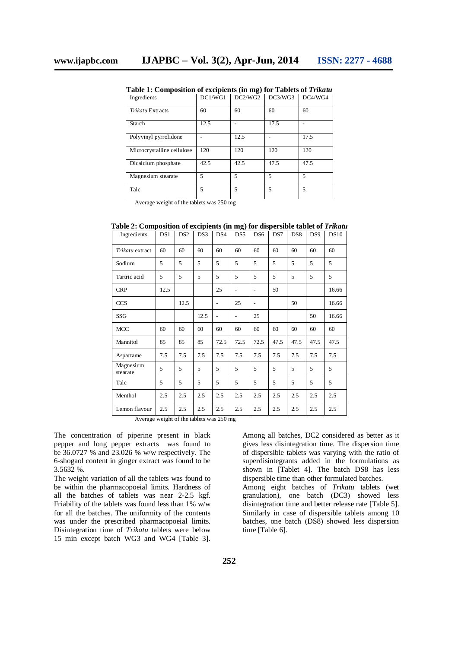| Ingredients                | DC1/WG1 | DC2/WG2 | DC3/WG3        | DC4/WG4 |
|----------------------------|---------|---------|----------------|---------|
| <b>Trikatu Extracts</b>    | 60      | 60      | 60             | 60      |
| Starch                     | 12.5    |         | 17.5           |         |
| Polyvinyl pyrrolidone      |         | 12.5    |                | 17.5    |
| Microcrystalline cellulose | 120     | 120     | 120            | 120     |
| Dicalcium phosphate        | 42.5    | 42.5    | 47.5           | 47.5    |
| Magnesium stearate         | 5       | 5       | $\overline{5}$ | 5       |
| Talc                       | 5       | 5       | 5              | 5       |

**Table 1: Composition of excipients (in mg) for Tablets of** *Trikatu*

Average weight of the tablets was 250 mg

| Ingredients           | DS1  | DS <sub>2</sub> | DS3  | DS4            | DS5  | DS6            | DS7  | DS <sub>8</sub> | DS <sub>9</sub> | <b>DS10</b> |
|-----------------------|------|-----------------|------|----------------|------|----------------|------|-----------------|-----------------|-------------|
| Trikatu extract       | 60   | 60              | 60   | 60             | 60   | 60             | 60   | 60              | 60              | 60          |
| Sodium                | 5    | 5               | 5    | 5              | 5    | 5              | 5    | 5               | 5               | 5           |
| Tartric acid          | 5    | 5               | 5    | 5              | 5    | 5              | 5    | 5               | 5               | 5           |
| <b>CRP</b>            | 12.5 |                 |      | 25             |      | $\overline{a}$ | 50   |                 |                 | 16.66       |
| <b>CCS</b>            |      | 12.5            |      | ۰              | 25   | $\overline{a}$ |      | 50              |                 | 16.66       |
| SSG                   |      |                 | 12.5 | $\overline{a}$ | -    | 25             |      |                 | 50              | 16.66       |
| MCC                   | 60   | 60              | 60   | 60             | 60   | 60             | 60   | 60              | 60              | 60          |
| Mannitol              | 85   | 85              | 85   | 72.5           | 72.5 | 72.5           | 47.5 | 47.5            | 47.5            | 47.5        |
| Aspartame             | 7.5  | 7.5             | 7.5  | 7.5            | 7.5  | 7.5            | 7.5  | 7.5             | 7.5             | 7.5         |
| Magnesium<br>stearate | 5    | 5               | 5    | 5              | 5    | 5              | 5    | 5               | 5               | 5           |
| Talc                  | 5    | 5               | 5    | 5              | 5    | 5              | 5    | 5               | 5               | 5           |
| Menthol               | 2.5  | 2.5             | 2.5  | 2.5            | 2.5  | 2.5            | 2.5  | 2.5             | 2.5             | 2.5         |
| Lemon flavour         | 2.5  | 2.5             | 2.5  | 2.5            | 2.5  | 2.5            | 2.5  | 2.5             | 2.5             | 2.5         |

**Table 2: Composition of excipients (in mg) for dispersible tablet of** *Trikatu*

Average weight of the tablets was 250 mg

The concentration of piperine present in black pepper and long pepper extracts was found to be 36.0727 % and 23.026 % w/w respectively. The 6-shogaol content in ginger extract was found to be 3.5632 %.

The weight variation of all the tablets was found to be within the pharmacopoeial limits. Hardness of all the batches of tablets was near 2-2.5 kgf. Friability of the tablets was found less than 1% w/w for all the batches. The uniformity of the contents was under the prescribed pharmacopoeial limits. Disintegration time of *Trikatu* tablets were below 15 min except batch WG3 and WG4 [Table 3].

Among all batches, DC2 considered as better as it gives less disintegration time. The dispersion time of dispersible tablets was varying with the ratio of superdisintegrants added in the formulations as shown in [Tablet 4]. The batch DS8 has less dispersible time than other formulated batches. Among eight batches of *Trikatu* tablets (wet granulation), one batch (DC3) showed less disintegration time and better release rate [Table 5]. Similarly in case of dispersible tablets among 10 batches, one batch (DS8) showed less dispersion time [Table 6].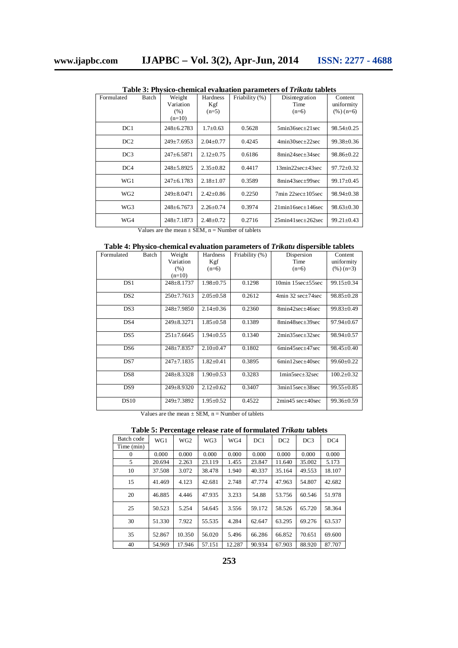| Formulated      | <b>Batch</b> | Weight<br>Variation<br>(% )<br>$(n=10)$ | <b>Hardness</b><br>Kgf<br>$(n=5)$ | Friability (%) | Disintegration<br>Time<br>$(n=6)$            | Content<br>uniformity<br>$(\%)(n=6)$ |
|-----------------|--------------|-----------------------------------------|-----------------------------------|----------------|----------------------------------------------|--------------------------------------|
| DC1             |              | $248 \pm 6.2783$                        | $1.7 \pm 0.63$                    | 0.5628         | $5\text{min}36\text{sec} \pm 21\text{sec}$   | $98.54 \pm 0.25$                     |
| DC2             |              | $249 \pm 7.6953$                        | $2.04 + 0.77$                     | 0.4245         | $4min30sec+22sec$                            | $99.38 \pm 0.36$                     |
| DC <sub>3</sub> |              | $247 \pm 6.5871$                        | $2.12 \pm 0.75$                   | 0.6186         | $8min24sec+34sec$                            | $98.86 \pm 0.22$                     |
| DC4             |              | $248 \pm 5.8925$                        | $2.35 \pm 0.82$                   | 0.4417         | 13min22sec+43sec                             | $97.72 \pm 0.32$                     |
| WG1             |              | $247 \pm 6.1783$                        | $2.18 \pm 1.07$                   | 0.3589         | 8min43sec±99sec                              | $99.17 \pm 0.45$                     |
| WG <sub>2</sub> |              | $249 \pm 8.0471$                        | $2.42 \pm 0.86$                   | 0.2250         | $7min$ 22sec $\pm$ 105sec                    | $98.94 \pm 0.38$                     |
| WG3             |              | $248 \pm 6.7673$                        | $2.26 \pm 0.74$                   | 0.3974         | $21min16sec \pm 146sec$                      | $98.63 \pm 0.30$                     |
| WG4             |              | $248 \pm 7.1873$                        | $2.48 \pm 0.72$                   | 0.2716         | $25\text{min}41\text{sec} \pm 262\text{sec}$ | $99.21 \pm 0.43$                     |

**Table 3: Physico-chemical evaluation parameters of** *Trikatu* **tablets**

Values are the mean  $\pm$  SEM, n = Number of tablets

#### **Table 4: Physico-chemical evaluation parameters of** *Trikatu* **dispersible tablets**

| Formulated      | Batch | Weight           | Hardness        | Friability (%) | Dispersion               | Content          |
|-----------------|-------|------------------|-----------------|----------------|--------------------------|------------------|
|                 |       | Variation        | Kgf             |                | Time                     | uniformity       |
|                 |       | (% )             | $(n=6)$         |                | $(n=6)$                  | $(\%)$ (n=3)     |
|                 |       | $(n=10)$         |                 |                |                          |                  |
| DS1             |       | $248 \pm 8.1737$ | $1.98 \pm 0.75$ | 0.1298         | 10min $15sec \pm 55sec$  | $99.15 \pm 0.34$ |
| DS <sub>2</sub> |       | $250 \pm 7.7613$ | $2.05 \pm 0.58$ | 0.2612         | $4min 32 sec \pm 74 sec$ | $98.85 \pm 0.28$ |
| DS3             |       | $248 \pm 7.9850$ | $2.14 \pm 0.36$ | 0.2360         | 8min42sec±46sec          | $99.83 \pm 0.49$ |
| DS4             |       | $249 \pm 8.3271$ | $1.85 \pm 0.58$ | 0.1389         | 8min48sec±39sec          | $97.94 \pm 0.67$ |
| DS <sub>5</sub> |       | $251 \pm 7.6645$ | $1.94 \pm 0.55$ | 0.1340         | $2min35sec \pm 32sec$    | $98.94 \pm 0.57$ |
| DS <sub>6</sub> |       | $248 \pm 7.8357$ | $2.10\pm0.47$   | 0.1802         | $6min45sec+47sec$        | $98.45 \pm 0.40$ |
| DS7             |       | $247+7.1835$     | $1.82 \pm 0.41$ | 0.3895         | $6min12sec+40sec$        | $99.60 \pm 0.22$ |
| DS <sub>8</sub> |       | $248 \pm 8.3328$ | $1.90 \pm 0.53$ | 0.3283         | $1 min5 sec + 32 sec$    | $100.2 \pm 0.32$ |
| DS <sub>9</sub> |       | $249 \pm 8.9320$ | $2.12 \pm 0.62$ | 0.3407         | 3min15sec+38sec          | $99.55 \pm 0.85$ |
| DS10            |       | 249±7.3892       | $1.95 \pm 0.52$ | 0.4522         | $2min45$ sec $+40$ sec   | 99.36±0.59       |

Values are the mean  $\pm$  SEM, n = Number of tablets

| Table 5: Percentage release rate of formulated Trikatu tablets |  |
|----------------------------------------------------------------|--|
|----------------------------------------------------------------|--|

| Batch code | WG1    | -<br>WG <sub>2</sub> | WG3    | WG4    | DC1    | DC2    | DC3    | DC <sub>4</sub> |
|------------|--------|----------------------|--------|--------|--------|--------|--------|-----------------|
| Time (min) |        |                      |        |        |        |        |        |                 |
| $\Omega$   | 0.000  | 0.000                | 0.000  | 0.000  | 0.000  | 0.000  | 0.000  | 0.000           |
| 5          | 20.694 | 2.263                | 23.119 | 1.455  | 23.847 | 11.640 | 35.002 | 5.173           |
| 10         | 37.508 | 3.072                | 38.478 | 1.940  | 40.337 | 35.164 | 49.553 | 18.107          |
| 15         | 41.469 | 4.123                | 42.681 | 2.748  | 47.774 | 47.963 | 54.807 | 42.682          |
| 20         | 46.885 | 4.446                | 47.935 | 3.233  | 54.88  | 53.756 | 60.546 | 51.978          |
| 25         | 50.523 | 5.254                | 54.645 | 3.556  | 59.172 | 58.526 | 65.720 | 58.364          |
| 30         | 51.330 | 7.922                | 55.535 | 4.284  | 62.647 | 63.295 | 69.276 | 63.537          |
| 35         | 52.867 | 10.350               | 56.020 | 5.496  | 66.286 | 66.852 | 70.651 | 69.600          |
| 40         | 54.969 | 17.946               | 57.151 | 12.287 | 90.934 | 67.903 | 88.920 | 87.707          |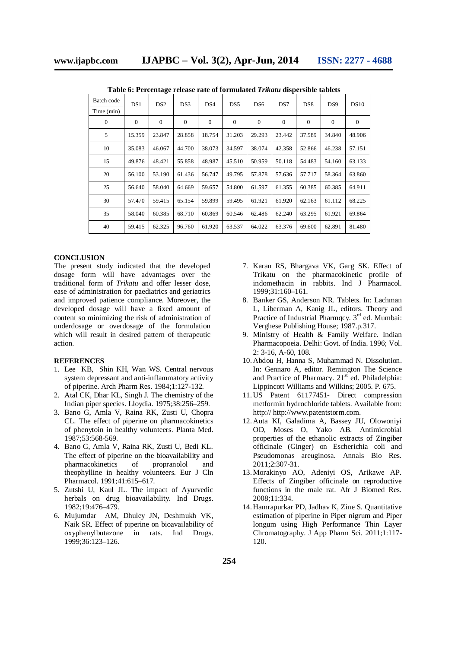| Batch code   | DS1      | DS <sub>2</sub> | DS3          | DS4            | DS <sub>5</sub> | DS <sub>6</sub> | DS7          | DS <sub>8</sub> | DS <sub>9</sub> | DS10         |
|--------------|----------|-----------------|--------------|----------------|-----------------|-----------------|--------------|-----------------|-----------------|--------------|
| Time (min)   |          |                 |              |                |                 |                 |              |                 |                 |              |
| $\mathbf{0}$ | $\Omega$ | $\overline{0}$  | $\mathbf{0}$ | $\overline{0}$ | $\Omega$        | $\overline{0}$  | $\mathbf{0}$ | $\mathbf{0}$    | $\mathbf{0}$    | $\mathbf{0}$ |
| 5            | 15.359   | 23.847          | 28.858       | 18.754         | 31.203          | 29.293          | 23.442       | 37.589          | 34.840          | 48.906       |
| 10           | 35.083   | 46.067          | 44.700       | 38.073         | 34.597          | 38.074          | 42.358       | 52.866          | 46.238          | 57.151       |
| 15           | 49.876   | 48.421          | 55.858       | 48.987         | 45.510          | 50.959          | 50.118       | 54.483          | 54.160          | 63.133       |
| 20           | 56.100   | 53.190          | 61.436       | 56.747         | 49.795          | 57.878          | 57.636       | 57.717          | 58.364          | 63.860       |
| 25           | 56.640   | 58.040          | 64.669       | 59.657         | 54.800          | 61.597          | 61.355       | 60.385          | 60.385          | 64.911       |
| 30           | 57.470   | 59.415          | 65.154       | 59.899         | 59.495          | 61.921          | 61.920       | 62.163          | 61.112          | 68.225       |
| 35           | 58.040   | 60.385          | 68.710       | 60.869         | 60.546          | 62.486          | 62.240       | 63.295          | 61.921          | 69.864       |
| 40           | 59.415   | 62.325          | 96.760       | 61.920         | 63.537          | 64.022          | 63.376       | 69.600          | 62.891          | 81.480       |

**Table 6: Percentage release rate of formulated** *Trikatu* **dispersible tablets**

#### **CONCLUSION**

The present study indicated that the developed dosage form will have advantages over the traditional form of *Trikatu* and offer lesser dose, ease of administration for paediatrics and geriatrics and improved patience compliance. Moreover, the developed dosage will have a fixed amount of content so minimizing the risk of administration of underdosage or overdosage of the formulation which will result in desired pattern of therapeutic action.

#### **REFERENCES**

- 1. Lee KB, Shin KH, Wan WS. Central nervous system depressant and anti-inflammatory activity of piperine. Arch Pharm Res. 1984;1:127-132.
- 2. Atal CK, Dhar KL, Singh J. The chemistry of the Indian piper species. Lloydia. 1975;38:256–259.
- 3. Bano G, Amla V, Raina RK, Zusti U, Chopra CL. The effect of piperine on pharmacokinetics of phenytoin in healthy volunteers. Planta Med. 1987;53:568-569.
- 4. Bano G, Amla V, Raina RK, Zusti U, Bedi KL. The effect of piperine on the bioavailability and pharmacokinetics of propranolol and theophylline in healthy volunteers. Eur J Cln Pharmacol. 1991;41:615–617.
- 5. Zutshi U, Kaul JL. The impact of Ayurvedic herbals on drug bioavailability. Ind Drugs. 1982;19:476–479.
- 6. Mujumdar AM, Dhuley JN, Deshmukh VK, Naik SR. Effect of piperine on bioavailability of oxyphenylbutazone in rats. Ind Drugs. 1999;36:123–126.
- 7. Karan RS, Bhargava VK, Garg SK. Effect of Trikatu on the pharmacokinetic profile of indomethacin in rabbits. Ind J Pharmacol. 1999;31:160–161.
- 8. Banker GS, Anderson NR. Tablets. In: Lachman L, Liberman A, Kanig JL, editors. Theory and Practice of Industrial Pharmacy.  $3<sup>rd</sup>$  ed. Mumbai: Verghese Publishing House; 1987.p.317.
- 9. Ministry of Health & Family Welfare. Indian Pharmacopoeia. Delhi: Govt. of India. 1996; Vol. 2: 3-16, A-60, 108.
- 10.Abdou H, Hanna S, Muhammad N. Dissolution. In: Gennaro A, editor. Remington The Science and Practice of Pharmacy.  $21<sup>st</sup>$  ed. Philadelphia: Lippincott Williams and Wilkins; 2005. P. 675.
- 11.US Patent 61177451- Direct compression metformin hydrochloride tablets. Available from: http:// http://www.patentstorm.com.
- 12.Auta KI, Galadima A, Bassey JU, Olowoniyi OD, Moses O, Yako AB. Antimicrobial properties of the ethanolic extracts of Zingiber officinale (Ginger) on Escherichia coli and Pseudomonas areuginosa. Annals Bio Res. 2011;2:307-31.
- 13.Morakinyo AO, Adeniyi OS, Arikawe AP. Effects of Zingiber officinale on reproductive functions in the male rat. Afr J Biomed Res. 2008;11:334.
- 14.Hamrapurkar PD, Jadhav K, Zine S. Quantitative estimation of piperine in Piper nigrum and Piper longum using High Performance Thin Layer Chromatography. J App Pharm Sci. 2011;1:117- 120.